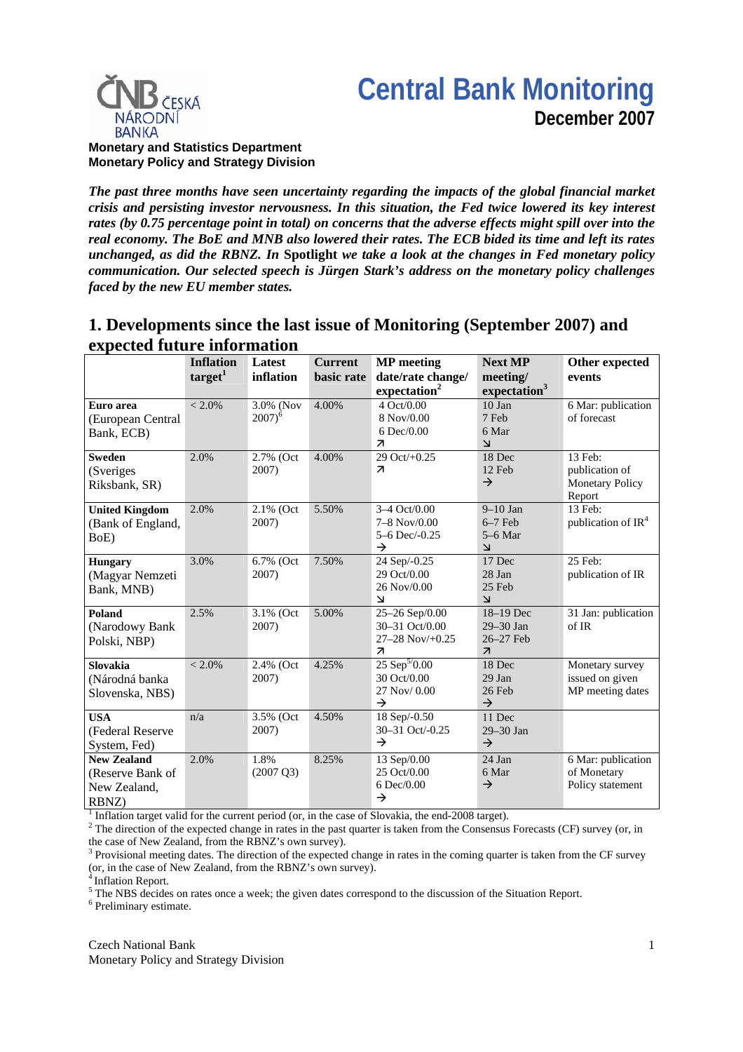# **Central Bank Monitoring December 2007**



**Monetary and Statistics Department Monetary Policy and Strategy Division**

*The past three months have seen uncertainty regarding the impacts of the global financial market crisis and persisting investor nervousness. In this situation, the Fed twice lowered its key interest rates (by 0.75 percentage point in total) on concerns that the adverse effects might spill over into the real economy. The BoE and MNB also lowered their rates. The ECB bided its time and left its rates unchanged, as did the RBNZ. In* **Spotlight** *we take a look at the changes in Fed monetary policy communication. Our selected speech is Jürgen Stark's address on the monetary policy challenges faced by the new EU member states.*

## **1. Developments since the last issue of Monitoring (September 2007) and expected future information**

|                                                                 | <b>Inflation</b><br>target <sup>1</sup> | Latest<br>inflation         | <b>Current</b><br>basic rate | <b>MP</b> meeting<br>date/rate change/                                                  | <b>Next MP</b><br>meeting/                                      | Other expected<br>events                                      |
|-----------------------------------------------------------------|-----------------------------------------|-----------------------------|------------------------------|-----------------------------------------------------------------------------------------|-----------------------------------------------------------------|---------------------------------------------------------------|
|                                                                 |                                         |                             |                              | expectation <sup>2</sup>                                                                | expectation <sup>3</sup>                                        |                                                               |
| Euro area<br>(European Central                                  | $< 2.0\%$                               | 3.0% (Nov<br>$2007)^6$      | 4.00%                        | 4 Oct/0.00<br>8 Nov/0.00                                                                | 10 Jan<br>7 Feb                                                 | 6 Mar: publication<br>of forecast                             |
| Bank, ECB)                                                      |                                         |                             |                              | 6 Dec/0.00<br>$\overline{\mathcal{A}}$                                                  | 6 Mar<br>لا                                                     |                                                               |
| <b>Sweden</b><br>(Sveriges<br>Riksbank, SR)                     | 2.0%                                    | 2.7% (Oct<br>2007)          | 4.00%                        | 29 Oct/+0.25<br>$\overline{\mathbf{z}}$                                                 | 18 Dec<br>12 Feb<br>$\rightarrow$                               | 13 Feb:<br>publication of<br><b>Monetary Policy</b><br>Report |
| <b>United Kingdom</b><br>(Bank of England,<br>BoE)              | 2.0%                                    | 2.1% (Oct<br>2007)          | 5.50%                        | 3-4 Oct/0.00<br>$7 - 8$ Nov/0.00<br>5-6 Dec/-0.25<br>$\rightarrow$                      | $9-10$ Jan<br>$6-7$ Feb<br>$5-6$ Mar<br>لا                      | 13 Feb:<br>publication of $IR4$                               |
| Hungary<br>(Magyar Nemzeti<br>Bank, MNB)                        | 3.0%                                    | 6.7% (Oct<br>2007)          | 7.50%                        | 24 Sep/-0.25<br>29 Oct/0.00<br>26 Nov/0.00<br>$\overline{\mathsf{K}}$                   | 17 Dec<br>28 Jan<br>$25$ Feb<br>$\overline{\mathsf{K}}$         | 25 Feb:<br>publication of IR                                  |
| Poland<br>(Narodowy Bank<br>Polski, NBP)                        | 2.5%                                    | 3.1% (Oct<br>2007)          | 5.00%                        | 25-26 Sep/0.00<br>30-31 Oct/0.00<br>$27 - 28$ Nov $/ +0.25$<br>$\overline{\mathcal{A}}$ | 18-19 Dec<br>29-30 Jan<br>26-27 Feb<br>$\overline{\mathcal{A}}$ | 31 Jan: publication<br>of IR                                  |
| <b>Slovakia</b><br>(Národná banka<br>Slovenska, NBS)            | $< 2.0\%$                               | 2.4% (Oct<br>2007)          | 4.25%                        | $25$ Sep <sup>5/</sup> 0.00<br>30 Oct/0.00<br>27 Nov/ 0.00<br>$\rightarrow$             | 18 Dec<br>29 Jan<br>26 Feb<br>$\rightarrow$                     | Monetary survey<br>issued on given<br>MP meeting dates        |
| <b>USA</b><br>(Federal Reserve<br>System, Fed)                  | n/a                                     | 3.5% (Oct<br>2007)          | 4.50%                        | 18 Sep/-0.50<br>30-31 Oct/-0.25<br>$\rightarrow$                                        | 11 Dec<br>29-30 Jan<br>$\rightarrow$                            |                                                               |
| <b>New Zealand</b><br>(Reserve Bank of<br>New Zealand,<br>RBNZ) | 2.0%                                    | 1.8%<br>$(2007 \text{ Q}3)$ | 8.25%                        | 13 Sep/0.00<br>25 Oct/0.00<br>6 Dec/0.00<br>$\rightarrow$                               | 24 Jan<br>6 Mar<br>$\rightarrow$                                | 6 Mar: publication<br>of Monetary<br>Policy statement         |

<sup>1</sup> Inflation target valid for the current period (or, in the case of Slovakia, the end-2008 target).

 $2^2$  The direction of the expected change in rates in the past quarter is taken from the Consensus Forecasts (CF) survey (or, in the case of New Zealand, from the RBNZ's own survey).

 $3$  Provisional meeting dates. The direction of the expected change in rates in the coming quarter is taken from the CF survey (or, in the case of New Zealand, from the RBNZ's own survey).

4 Inflation Report.

 $^5$  The NBS decides on rates once a week; the given dates correspond to the discussion of the Situation Report.

<sup>6</sup> Preliminary estimate.

Czech National Bank Monetary Policy and Strategy Division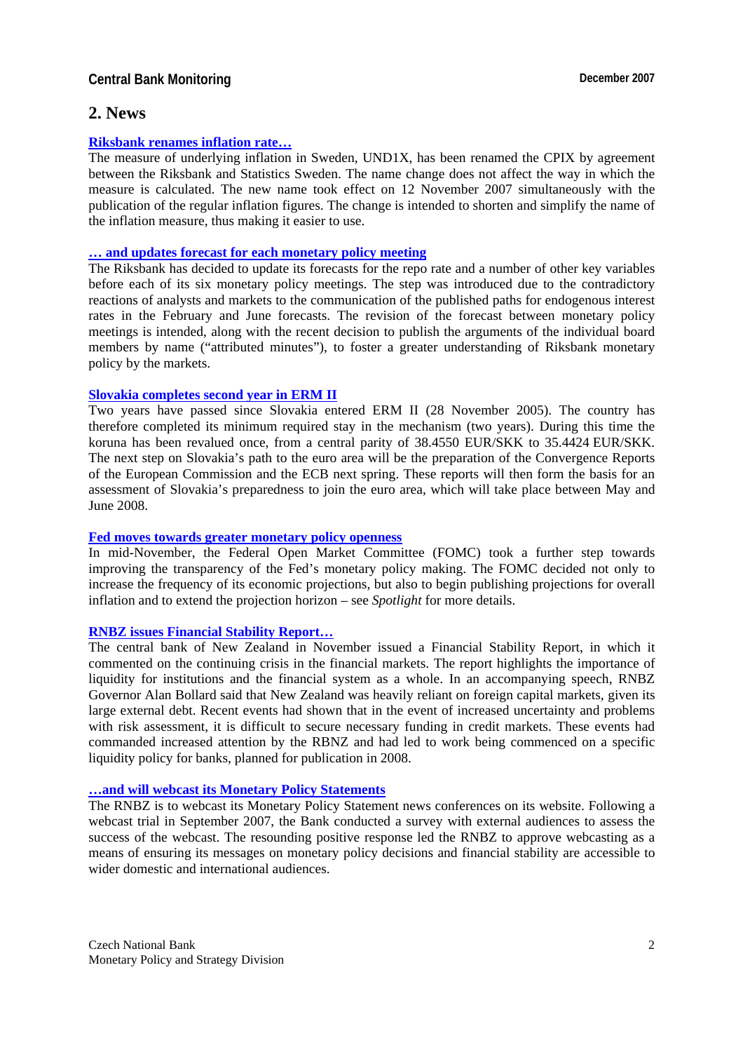### **Central Bank Monitoring Central Bank Monitoring Central Bank Monitoring Central Bank Monitoring Central Bank Monitoring Central Bank Monitoring Central Bank Monitoring Central Bank Monitoring Central Bank Monitoring Centr**

### **2. News**

### **Riksbank renames inflation rate…**

The measure of underlying inflation in Sweden, UND1X, has been renamed the CPIX by agreement between the Riksbank and Statistics Sweden. The name change does not affect the way in which the measure is calculated. The new name took effect on 12 November 2007 simultaneously with the publication of the regular inflation figures. The change is intended to shorten and simplify the name of the inflation measure, thus making it easier to use.

### **… and updates forecast for each monetary policy meeting**

The Riksbank has decided to update its forecasts for the repo rate and a number of other key variables before each of its six monetary policy meetings. The step was introduced due to the contradictory reactions of analysts and markets to the communication of the published paths for endogenous interest rates in the February and June forecasts. The revision of the forecast between monetary policy meetings is intended, along with the recent decision to publish the arguments of the individual board members by name ("attributed minutes"), to foster a greater understanding of Riksbank monetary policy by the markets.

### **Slovakia completes second year in ERM II**

Two years have passed since Slovakia entered ERM II (28 November 2005). The country has therefore completed its minimum required stay in the mechanism (two years). During this time the koruna has been revalued once, from a central parity of 38.4550 EUR/SKK to 35.4424 EUR/SKK. The next step on Slovakia's path to the euro area will be the preparation of the Convergence Reports of the European Commission and the ECB next spring. These reports will then form the basis for an assessment of Slovakia's preparedness to join the euro area, which will take place between May and June 2008.

#### **Fed moves towards greater monetary policy openness**

In mid-November, the Federal Open Market Committee (FOMC) took a further step towards improving the transparency of the Fed's monetary policy making. The FOMC decided not only to increase the frequency of its economic projections, but also to begin publishing projections for overall inflation and to extend the projection horizon – see *Spotlight* for more details.

### **RNBZ issues Financial Stability Report…**

The central bank of New Zealand in November issued a Financial Stability Report, in which it commented on the continuing crisis in the financial markets. The report highlights the importance of liquidity for institutions and the financial system as a whole. In an accompanying speech, RNBZ Governor Alan Bollard said that New Zealand was heavily reliant on foreign capital markets, given its large external debt. Recent events had shown that in the event of increased uncertainty and problems with risk assessment, it is difficult to secure necessary funding in credit markets. These events had commanded increased attention by the RBNZ and had led to work being commenced on a specific liquidity policy for banks, planned for publication in 2008.

### **…and will webcast its Monetary Policy Statements**

The RNBZ is to webcast its Monetary Policy Statement news conferences on its website. Following a webcast trial in September 2007, the Bank conducted a survey with external audiences to assess the success of the webcast. The resounding positive response led the RNBZ to approve webcasting as a means of ensuring its messages on monetary policy decisions and financial stability are accessible to wider domestic and international audiences.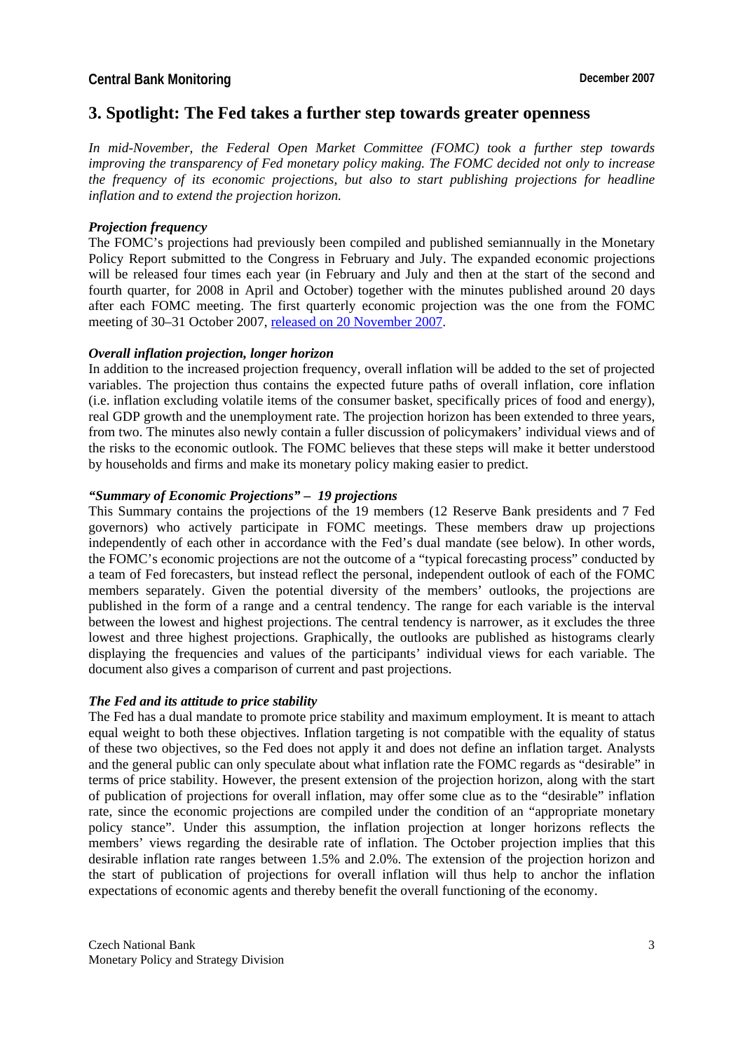### **3. Spotlight: The Fed takes a further step towards greater openness**

*In mid-November, the Federal Open Market Committee (FOMC) took a further step towards improving the transparency of Fed monetary policy making. The FOMC decided not only to increase the frequency of its economic projections, but also to start publishing projections for headline inflation and to extend the projection horizon.* 

### *Projection frequency*

The FOMC's projections had previously been compiled and published semiannually in the Monetary Policy Report submitted to the Congress in February and July. The expanded economic projections will be released four times each year (in February and July and then at the start of the second and fourth quarter, for 2008 in April and October) together with the minutes published around 20 days after each FOMC meeting. The first quarterly economic projection was the one from the FOMC meeting of 30–31 October 2007, released on 20 November 2007.

### *Overall inflation projection, longer horizon*

In addition to the increased projection frequency, overall inflation will be added to the set of projected variables. The projection thus contains the expected future paths of overall inflation, core inflation (i.e. inflation excluding volatile items of the consumer basket, specifically prices of food and energy), real GDP growth and the unemployment rate. The projection horizon has been extended to three years, from two. The minutes also newly contain a fuller discussion of policymakers' individual views and of the risks to the economic outlook. The FOMC believes that these steps will make it better understood by households and firms and make its monetary policy making easier to predict.

### *"Summary of Economic Projections" – 19 projections*

This Summary contains the projections of the 19 members (12 Reserve Bank presidents and 7 Fed governors) who actively participate in FOMC meetings. These members draw up projections independently of each other in accordance with the Fed's dual mandate (see below). In other words, the FOMC's economic projections are not the outcome of a "typical forecasting process" conducted by a team of Fed forecasters, but instead reflect the personal, independent outlook of each of the FOMC members separately. Given the potential diversity of the members' outlooks, the projections are published in the form of a range and a central tendency. The range for each variable is the interval between the lowest and highest projections. The central tendency is narrower, as it excludes the three lowest and three highest projections. Graphically, the outlooks are published as histograms clearly displaying the frequencies and values of the participants' individual views for each variable. The document also gives a comparison of current and past projections.

#### *The Fed and its attitude to price stability*

The Fed has a dual mandate to promote price stability and maximum employment. It is meant to attach equal weight to both these objectives. Inflation targeting is not compatible with the equality of status of these two objectives, so the Fed does not apply it and does not define an inflation target. Analysts and the general public can only speculate about what inflation rate the FOMC regards as "desirable" in terms of price stability. However, the present extension of the projection horizon, along with the start of publication of projections for overall inflation, may offer some clue as to the "desirable" inflation rate, since the economic projections are compiled under the condition of an "appropriate monetary policy stance". Under this assumption, the inflation projection at longer horizons reflects the members' views regarding the desirable rate of inflation. The October projection implies that this desirable inflation rate ranges between 1.5% and 2.0%. The extension of the projection horizon and the start of publication of projections for overall inflation will thus help to anchor the inflation expectations of economic agents and thereby benefit the overall functioning of the economy.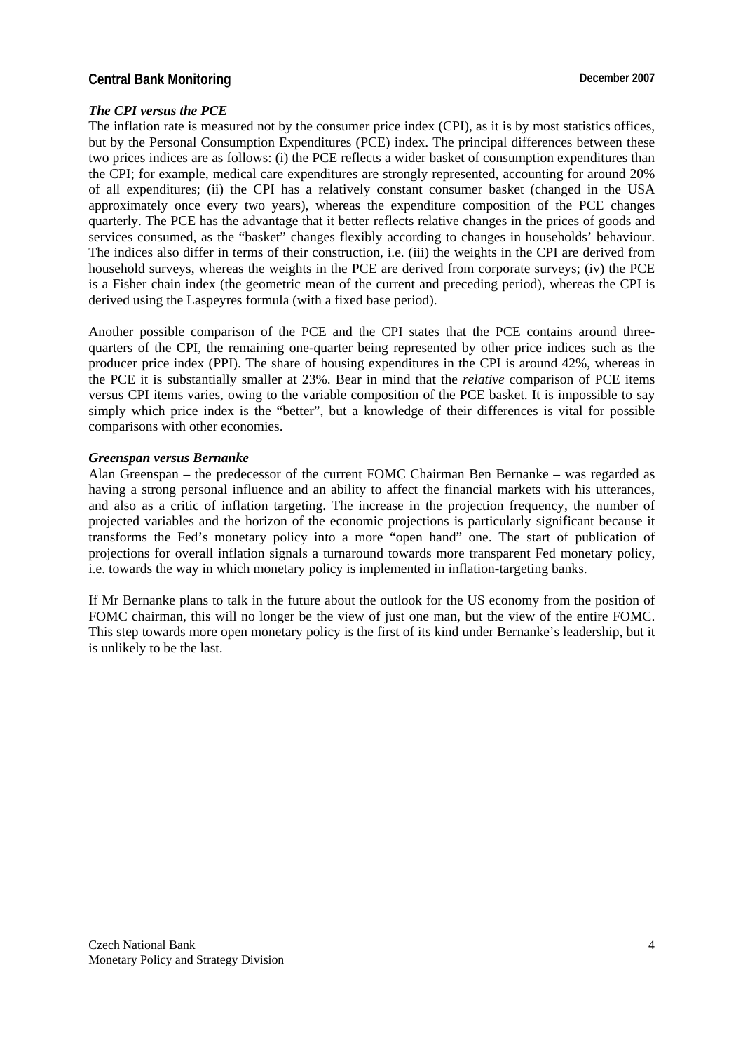### **Central Bank Monitoring Central Bank Monitoring Central Bank Monitoring Central Bank Monitoring Central Bank Monitoring Central Bank Monitoring Central Bank Monitoring Central Bank Monitoring Central Bank Monitoring Centr**

### *The CPI versus the PCE*

The inflation rate is measured not by the consumer price index (CPI), as it is by most statistics offices, but by the Personal Consumption Expenditures (PCE) index. The principal differences between these two prices indices are as follows: (i) the PCE reflects a wider basket of consumption expenditures than the CPI; for example, medical care expenditures are strongly represented, accounting for around 20% of all expenditures; (ii) the CPI has a relatively constant consumer basket (changed in the USA approximately once every two years), whereas the expenditure composition of the PCE changes quarterly. The PCE has the advantage that it better reflects relative changes in the prices of goods and services consumed, as the "basket" changes flexibly according to changes in households' behaviour. The indices also differ in terms of their construction, i.e. (iii) the weights in the CPI are derived from household surveys, whereas the weights in the PCE are derived from corporate surveys; (iv) the PCE is a Fisher chain index (the geometric mean of the current and preceding period), whereas the CPI is derived using the Laspeyres formula (with a fixed base period).

Another possible comparison of the PCE and the CPI states that the PCE contains around threequarters of the CPI, the remaining one-quarter being represented by other price indices such as the producer price index (PPI). The share of housing expenditures in the CPI is around 42%, whereas in the PCE it is substantially smaller at 23%. Bear in mind that the *relative* comparison of PCE items versus CPI items varies, owing to the variable composition of the PCE basket. It is impossible to say simply which price index is the "better", but a knowledge of their differences is vital for possible comparisons with other economies.

#### *Greenspan versus Bernanke*

Alan Greenspan – the predecessor of the current FOMC Chairman Ben Bernanke – was regarded as having a strong personal influence and an ability to affect the financial markets with his utterances, and also as a critic of inflation targeting. The increase in the projection frequency, the number of projected variables and the horizon of the economic projections is particularly significant because it transforms the Fed's monetary policy into a more "open hand" one. The start of publication of projections for overall inflation signals a turnaround towards more transparent Fed monetary policy, i.e. towards the way in which monetary policy is implemented in inflation-targeting banks.

If Mr Bernanke plans to talk in the future about the outlook for the US economy from the position of FOMC chairman, this will no longer be the view of just one man, but the view of the entire FOMC. This step towards more open monetary policy is the first of its kind under Bernanke's leadership, but it is unlikely to be the last.